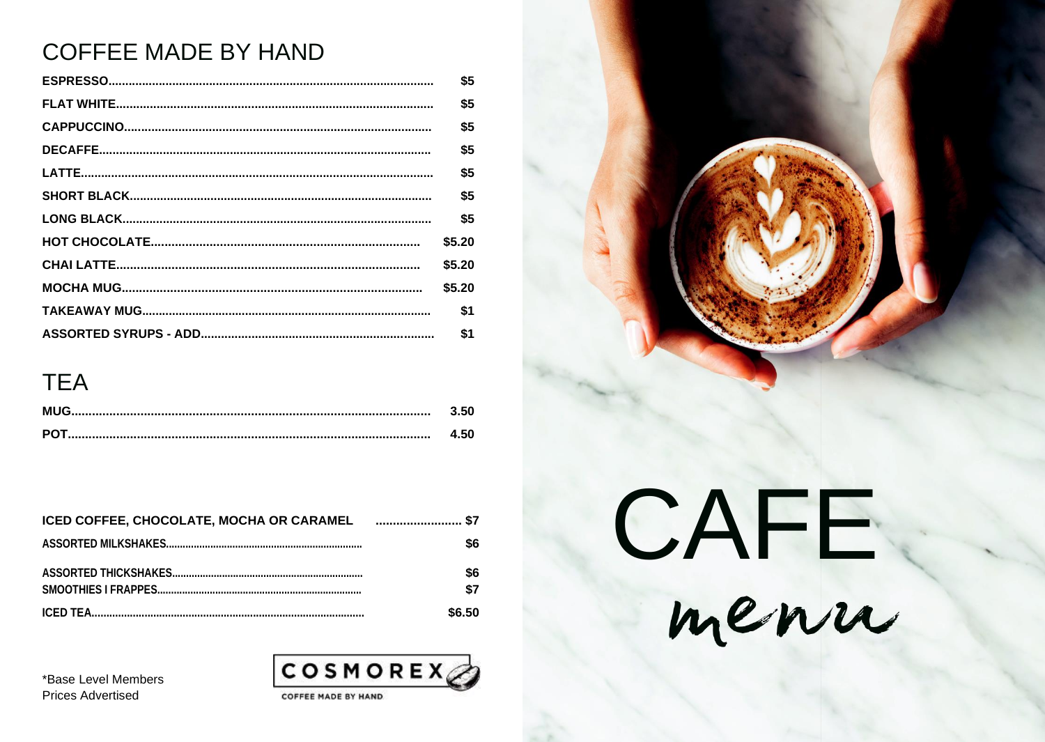## **COFFEE MADE BY HAND**

| \$5    |
|--------|
| \$5    |
| \$5    |
| \$5    |
| \$5    |
| \$5    |
| \$5    |
| \$5.20 |
| \$5.20 |
| \$5.20 |
| \$1    |
| \$1    |

### **TEA**

| 1.50 |
|------|
| .50  |

| \$1    |
|--------|
| \$(    |
| \$.    |
| \$6.50 |

\*Base Level Members **Prices Advertised**